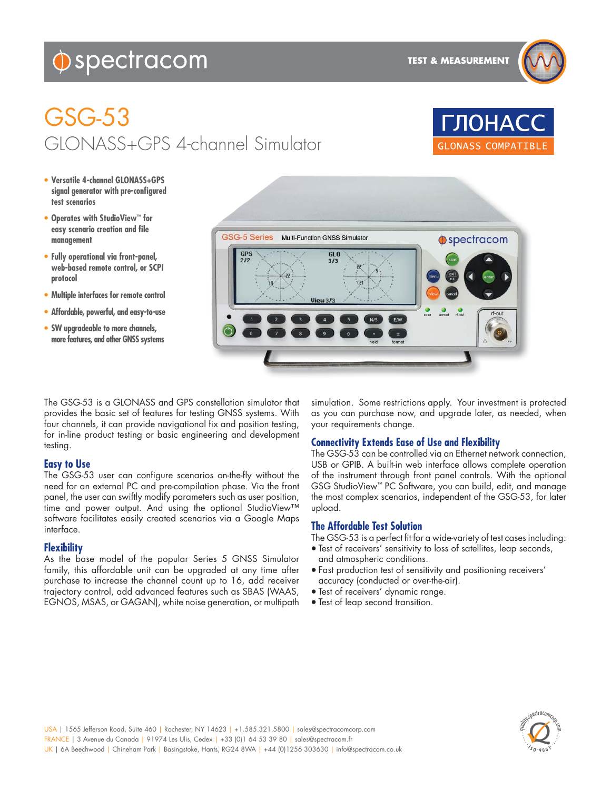# $\bigcirc$ spectracom

# GSG-53 GLONASS+GPS 4-channel Simulator



- **Versatile 4-channel GLONASS+GPS**  signal generator with pre-configured **test scenarios**
- **Operates with StudioView™ for**  easy scenario creation and file **management**
- **Fully operational via front-panel, web-based remote control, or SCPI protocol**
- **Multiple interfaces for remote control**
- **Affordable, powerful, and easy-to-use**
- **SW upgradeable to more channels, more features, and other GNSS systems**



The GSG-53 is a GLONASS and GPS constellation simulator that provides the basic set of features for testing GNSS systems. With four channels, it can provide navigational fix and position testing, for in-line product testing or basic engineering and development testing.

#### **Easy to Use**

The GSG-53 user can configure scenarios on-the-fly without the need for an external PC and pre-compilation phase. Via the front panel, the user can swiftly modify parameters such as user position, time and power output. And using the optional StudioView™ software facilitates easily created scenarios via a Google Maps interface.

# **Flexibility**

As the base model of the popular Series 5 GNSS Simulator family, this affordable unit can be upgraded at any time after purchase to increase the channel count up to 16, add receiver trajectory control, add advanced features such as SBAS (WAAS, EGNOS, MSAS, or GAGAN), white noise generation, or multipath

simulation. Some restrictions apply. Your investment is protected as you can purchase now, and upgrade later, as needed, when your requirements change.

# **Connectivity Extends Ease of Use and Flexibility**

The GSG-53 can be controlled via an Ethernet network connection, USB or GPIB. A built-in web interface allows complete operation of the instrument through front panel controls. With the optional GSG StudioView™ PC Software, you can build, edit, and manage the most complex scenarios, independent of the GSG-53, for later upload.

# **The Affordable Test Solution**

The GSG-53 is a perfect fit for a wide-variety of test cases including:

- Test of receivers' sensitivity to loss of satellites, leap seconds, and atmospheric conditions.
- Fast production test of sensitivity and positioning receivers' accuracy (conducted or over-the-air).
- Test of receivers' dynamic range.
- Test of leap second transition.